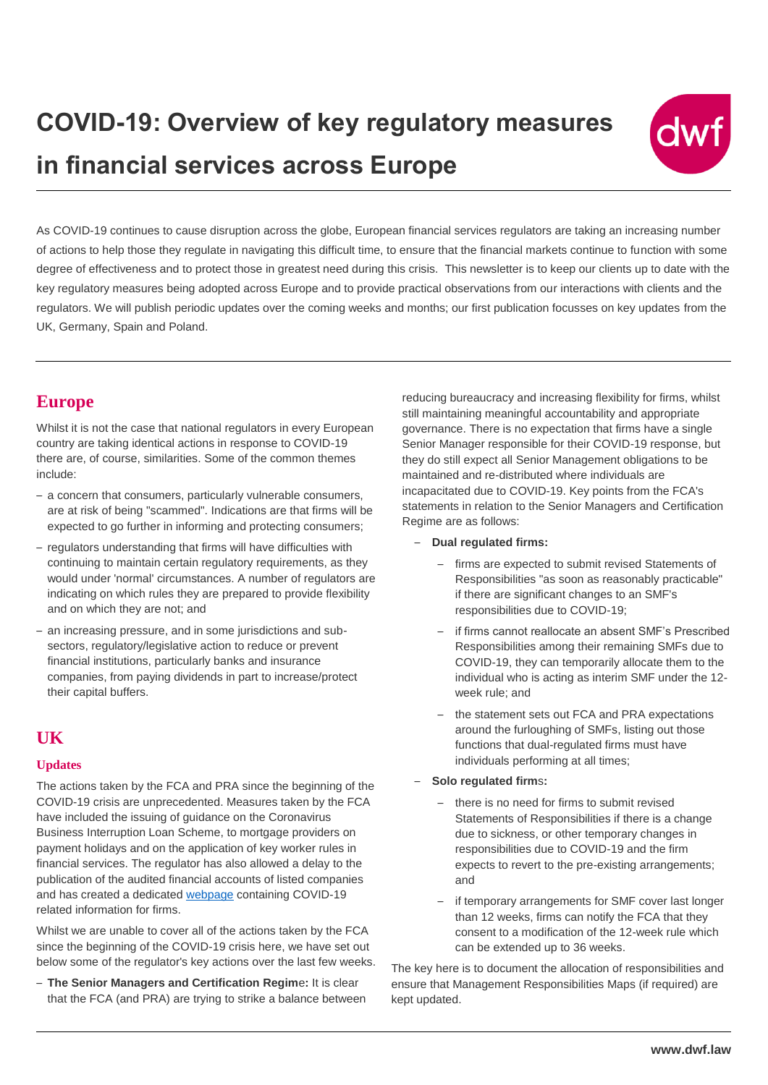

As COVID-19 continues to cause disruption across the globe, European financial services regulators are taking an increasing number of actions to help those they regulate in navigating this difficult time, to ensure that the financial markets continue to function with some degree of effectiveness and to protect those in greatest need during this crisis. This newsletter is to keep our clients up to date with the key regulatory measures being adopted across Europe and to provide practical observations from our interactions with clients and the regulators. We will publish periodic updates over the coming weeks and months; our first publication focusses on key updates from the UK, Germany, Spain and Poland.

### **Europe**

Whilst it is not the case that national regulators in every European country are taking identical actions in response to COVID-19 there are, of course, similarities. Some of the common themes include:

- a concern that consumers, particularly vulnerable consumers, are at risk of being "scammed". Indications are that firms will be expected to go further in informing and protecting consumers;
- regulators understanding that firms will have difficulties with continuing to maintain certain regulatory requirements, as they would under 'normal' circumstances. A number of regulators are indicating on which rules they are prepared to provide flexibility and on which they are not; and
- an increasing pressure, and in some jurisdictions and subsectors, regulatory/legislative action to reduce or prevent financial institutions, particularly banks and insurance companies, from paying dividends in part to increase/protect their capital buffers.

## **UK**

### **Updates**

The actions taken by the FCA and PRA since the beginning of the COVID-19 crisis are unprecedented. Measures taken by the FCA have included the issuing of guidance on the Coronavirus Business Interruption Loan Scheme, to mortgage providers on payment holidays and on the application of key worker rules in financial services. The regulator has also allowed a delay to the publication of the audited financial accounts of listed companies and has created a dedicated [webpage](https://www.fca.org.uk/firms/information-firms-coronavirus-covid-19-response#smcr) containing COVID-19 related information for firms.

Whilst we are unable to cover all of the actions taken by the FCA since the beginning of the COVID-19 crisis here, we have set out below some of the regulator's key actions over the last few weeks.

– **The Senior Managers and Certification Regim**e**:** It is clear that the FCA (and PRA) are trying to strike a balance between reducing bureaucracy and increasing flexibility for firms, whilst still maintaining meaningful accountability and appropriate governance. There is no expectation that firms have a single Senior Manager responsible for their COVID-19 response, but they do still expect all Senior Management obligations to be maintained and re-distributed where individuals are incapacitated due to COVID-19. Key points from the FCA's statements in relation to the Senior Managers and Certification Regime are as follows:

- **Dual regulated firms:** 
	- firms are expected to submit revised Statements of Responsibilities "as soon as reasonably practicable" if there are significant changes to an SMF's responsibilities due to COVID-19;
	- if firms cannot reallocate an absent SMF's Prescribed Responsibilities among their remaining SMFs due to COVID-19, they can temporarily allocate them to the individual who is acting as interim SMF under the 12 week rule; and
	- the statement sets out FCA and PRA expectations around the furloughing of SMFs, listing out those functions that dual-regulated firms must have individuals performing at all times;

### – **Solo regulated firm**s**:**

- there is no need for firms to submit revised Statements of Responsibilities if there is a change due to sickness, or other temporary changes in responsibilities due to COVID-19 and the firm expects to revert to the pre-existing arrangements; and
- if temporary arrangements for SMF cover last longer than 12 weeks, firms can notify the FCA that they consent to a modification of the 12-week rule which can be extended up to 36 weeks.

The key here is to document the allocation of responsibilities and ensure that Management Responsibilities Maps (if required) are kept updated.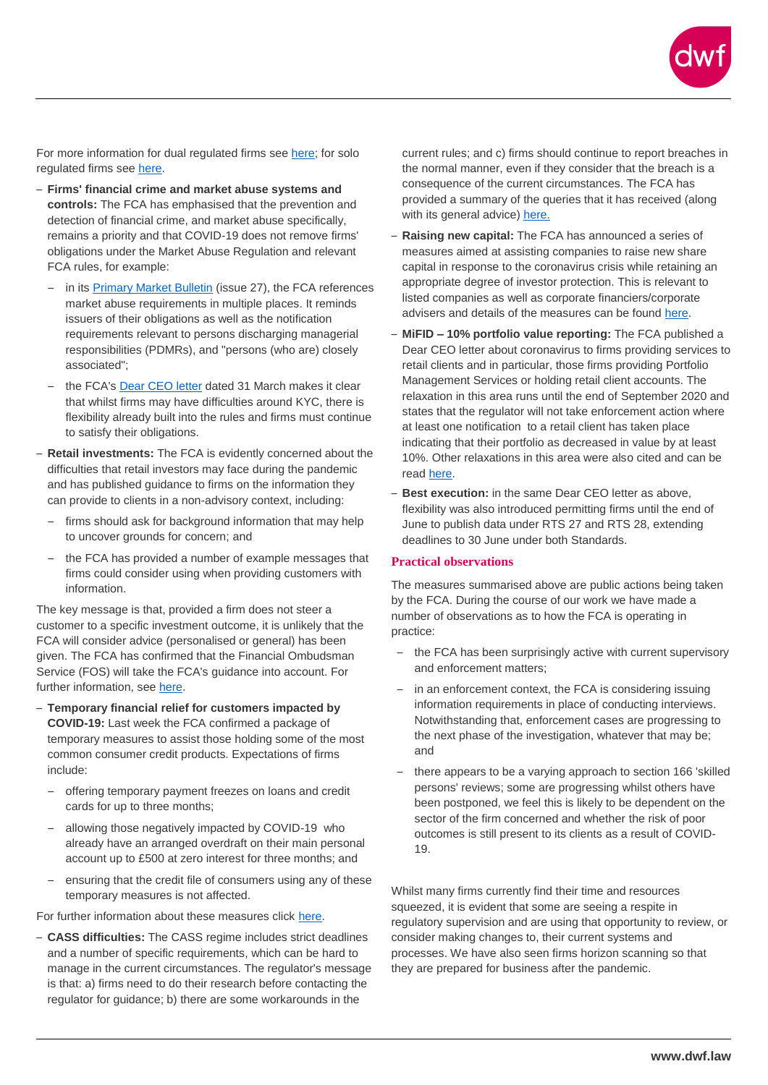For more information for dual regulated firms see [here;](https://www.fca.org.uk/news/statements/joint-fca-pra-statement-smcr-coronavirus-covid-19) for solo regulated firms see [here.](https://www.fca.org.uk/news/statements/smcr-coronavirus-our-expectations-solo-regulated-firms)

- **Firms' financial crime and market abuse systems and controls:** The FCA has emphasised that the prevention and detection of financial crime, and market abuse specifically, remains a priority and that COVID-19 does not remove firms' obligations under the Market Abuse Regulation and relevant FCA rules, for example:
	- in its [Primary Market Bulletin](https://www.fca.org.uk/publications/newsletters/primary-market-bulletin-issue-no-27-coronavirus-update) (issue 27), the FCA references market abuse requirements in multiple places. It reminds issuers of their obligations as well as the notification requirements relevant to persons discharging managerial responsibilities (PDMRs), and "persons (who are) closely associated";
	- the FCA'[s Dear CEO letter](https://www.fca.org.uk/publication/correspondence/dear-ceo-letter-coronavirus-update-firms-providing-services-retail-investors.pdf) dated 31 March makes it clear that whilst firms may have difficulties around KYC, there is flexibility already built into the rules and firms must continue to satisfy their obligations.
- **Retail investments:** The FCA is evidently concerned about the difficulties that retail investors may face during the pandemic and has published guidance to firms on the information they can provide to clients in a non-advisory context, including:
	- firms should ask for background information that may help to uncover grounds for concern; and
	- the FCA has provided a number of example messages that firms could consider using when providing customers with information.

The key message is that, provided a firm does not steer a customer to a specific investment outcome, it is unlikely that the FCA will consider advice (personalised or general) has been given. The FCA has confirmed that the Financial Ombudsman Service (FOS) will take the FCA's guidance into account. For further information, see [here.](https://www.fca.org.uk/firms/messages-firms-can-give-customers-investments-life-assurance)

- **Temporary financial relief for customers impacted by COVID-19:** Last week the FCA confirmed a package of temporary measures to assist those holding some of the most common consumer credit products. Expectations of firms include:
	- offering temporary payment freezes on loans and credit cards for up to three months;
	- allowing those negatively impacted by COVID-19 who already have an arranged overdraft on their main personal account up to £500 at zero interest for three months; and
	- ensuring that the credit file of consumers using any of these temporary measures is not affected.

For further information about these measures click [here.](https://www.fca.org.uk/news/press-releases/fca-confirms-temporary-financial-relief-customers-impacted-coronavirus)

– **CASS difficulties:** The CASS regime includes strict deadlines and a number of specific requirements, which can be hard to manage in the current circumstances. The regulator's message is that: a) firms need to do their research before contacting the regulator for guidance; b) there are some workarounds in the

current rules; and c) firms should continue to report breaches in the normal manner, even if they consider that the breach is a consequence of the current circumstances. The FCA has provided a summary of the queries that it has received (along with its general advice) [here.](https://www.fca.org.uk/firms/client-assets-coronavirus)

- **Raising new capital:** The FCA has announced a series of measures aimed at assisting companies to raise new share capital in response to the coronavirus crisis while retaining an appropriate degree of investor protection. This is relevant to listed companies as well as corporate financiers/corporate advisers and details of the measures can be found [here.](https://www.fca.org.uk/news/statements/listed-companies-recapitalisation-issuances-coronavirus)
- **MiFID – 10% portfolio value reporting:** The FCA published a Dear CEO letter about coronavirus to firms providing services to retail clients and in particular, those firms providing Portfolio Management Services or holding retail client accounts. The relaxation in this area runs until the end of September 2020 and states that the regulator will not take enforcement action where at least one notification to a retail client has taken place indicating that their portfolio as decreased in value by at least 10%. Other relaxations in this area were also cited and can be read [here.](https://www.fca.org.uk/publication/correspondence/dear-ceo-letter-coronavirus-update-firms-providing-services-retail-investors.pdf)
- **Best execution:** in the same Dear CEO letter as above, flexibility was also introduced permitting firms until the end of June to publish data under RTS 27 and RTS 28, extending deadlines to 30 June under both Standards.

### **Practical observations**

The measures summarised above are public actions being taken by the FCA. During the course of our work we have made a number of observations as to how the FCA is operating in practice:

- the FCA has been surprisingly active with current supervisory and enforcement matters;
- in an enforcement context, the FCA is considering issuing information requirements in place of conducting interviews. Notwithstanding that, enforcement cases are progressing to the next phase of the investigation, whatever that may be; and
- there appears to be a varying approach to section 166 'skilled persons' reviews; some are progressing whilst others have been postponed, we feel this is likely to be dependent on the sector of the firm concerned and whether the risk of poor outcomes is still present to its clients as a result of COVID-19.

Whilst many firms currently find their time and resources squeezed, it is evident that some are seeing a respite in regulatory supervision and are using that opportunity to review, or consider making changes to, their current systems and processes. We have also seen firms horizon scanning so that they are prepared for business after the pandemic.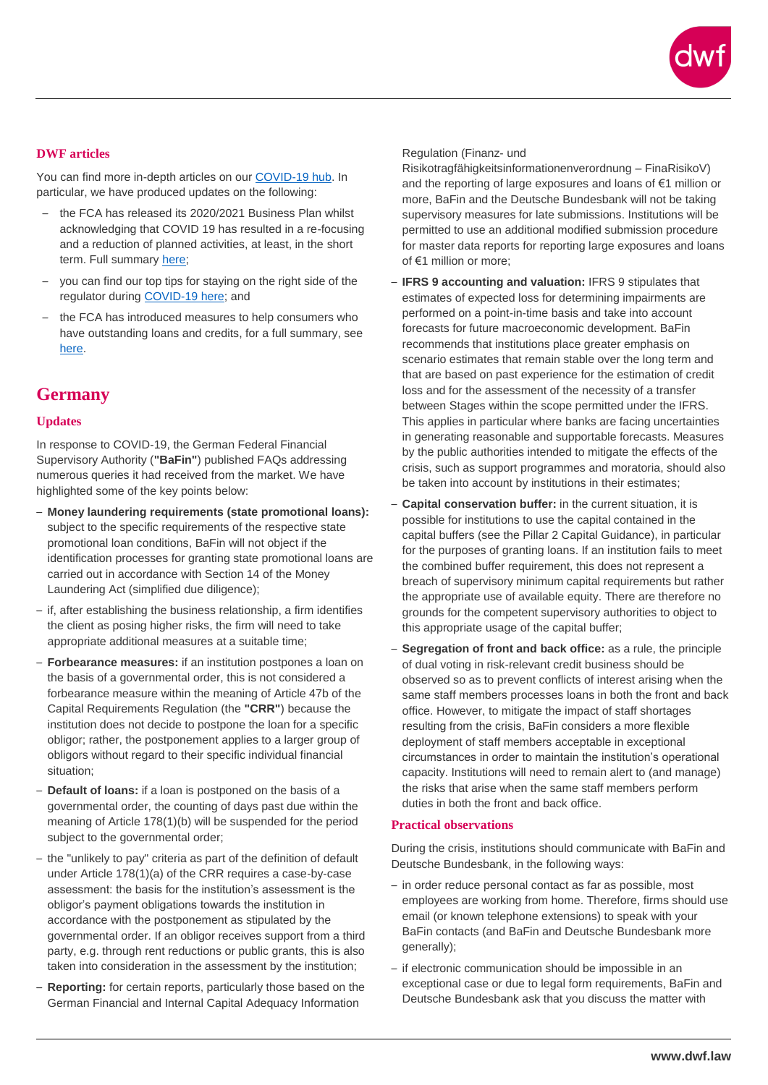

### **DWF articles**

You can find more in-depth articles on our [COVID-19 hub.](https://www.dwf.law/Legal-Insights/2020/COVID-19) In particular, we have produced updates on the following:

- the FCA has released its 2020/2021 Business Plan whilst acknowledging that COVID 19 has resulted in a re-focusing and a reduction of planned activities, at least, in the short term. Full summary [here;](https://www.dwf.law/Connected-Services/Regulatory-Consulting)
- you can find our top tips for staying on the right side of the regulator during [COVID-19 here;](https://www.dwf.law/Legal-Insights/2020/March/COVID-19-and-the-FCA-top-tips-for-firms-to-stay-on-the-right-side-of-the-regulator) and
- the FCA has introduced measures to help consumers who have outstanding loans and credits, for a full summary, see [here.](https://www.dwf.law/Legal-Insights/2020/April/Consumer-Credit-FCA-proposes-temporary-measures-arising-from-COVID-19)

### **Germany**

#### **Updates**

In response to COVID-19, the German Federal Financial Supervisory Authority (**"BaFin"**) published FAQs addressing numerous queries it had received from the market. We have highlighted some of the key points below:

- **Money laundering requirements (state promotional loans):** subject to the specific requirements of the respective state promotional loan conditions, BaFin will not object if the identification processes for granting state promotional loans are carried out in accordance with Section 14 of the Money Laundering Act (simplified due diligence);
- if, after establishing the business relationship, a firm identifies the client as posing higher risks, the firm will need to take appropriate additional measures at a suitable time;
- **Forbearance measures:** if an institution postpones a loan on the basis of a governmental order, this is not considered a forbearance measure within the meaning of Article 47b of the Capital Requirements Regulation (the **"CRR"**) because the institution does not decide to postpone the loan for a specific obligor; rather, the postponement applies to a larger group of obligors without regard to their specific individual financial situation;
- **Default of loans:** if a loan is postponed on the basis of a governmental order, the counting of days past due within the meaning of Article 178(1)(b) will be suspended for the period subject to the governmental order;
- the "unlikely to pay" criteria as part of the definition of default under Article 178(1)(a) of the CRR requires a case-by-case assessment: the basis for the institution's assessment is the obligor's payment obligations towards the institution in accordance with the postponement as stipulated by the governmental order. If an obligor receives support from a third party, e.g. through rent reductions or public grants, this is also taken into consideration in the assessment by the institution;
- **Reporting:** for certain reports, particularly those based on the German Financial and Internal Capital Adequacy Information

#### Regulation (Finanz- und

Risikotragfähigkeitsinformationenverordnung – FinaRisikoV) and the reporting of large exposures and loans of €1 million or more, BaFin and the Deutsche Bundesbank will not be taking supervisory measures for late submissions. Institutions will be permitted to use an additional modified submission procedure for master data reports for reporting large exposures and loans of €1 million or more;

- **IFRS 9 accounting and valuation:** IFRS 9 stipulates that estimates of expected loss for determining impairments are performed on a point-in-time basis and take into account forecasts for future macroeconomic development. BaFin recommends that institutions place greater emphasis on scenario estimates that remain stable over the long term and that are based on past experience for the estimation of credit loss and for the assessment of the necessity of a transfer between Stages within the scope permitted under the IFRS. This applies in particular where banks are facing uncertainties in generating reasonable and supportable forecasts. Measures by the public authorities intended to mitigate the effects of the crisis, such as support programmes and moratoria, should also be taken into account by institutions in their estimates;
- **Capital conservation buffer:** in the current situation, it is possible for institutions to use the capital contained in the capital buffers (see the Pillar 2 Capital Guidance), in particular for the purposes of granting loans. If an institution fails to meet the combined buffer requirement, this does not represent a breach of supervisory minimum capital requirements but rather the appropriate use of available equity. There are therefore no grounds for the competent supervisory authorities to object to this appropriate usage of the capital buffer;
- **Segregation of front and back office:** as a rule, the principle of dual voting in risk-relevant credit business should be observed so as to prevent conflicts of interest arising when the same staff members processes loans in both the front and back office. However, to mitigate the impact of staff shortages resulting from the crisis, BaFin considers a more flexible deployment of staff members acceptable in exceptional circumstances in order to maintain the institution's operational capacity. Institutions will need to remain alert to (and manage) the risks that arise when the same staff members perform duties in both the front and back office.

#### **Practical observations**

During the crisis, institutions should communicate with BaFin and Deutsche Bundesbank, in the following ways:

- in order reduce personal contact as far as possible, most employees are working from home. Therefore, firms should use email (or known telephone extensions) to speak with your BaFin contacts (and BaFin and Deutsche Bundesbank more generally);
- if electronic communication should be impossible in an exceptional case or due to legal form requirements, BaFin and Deutsche Bundesbank ask that you discuss the matter with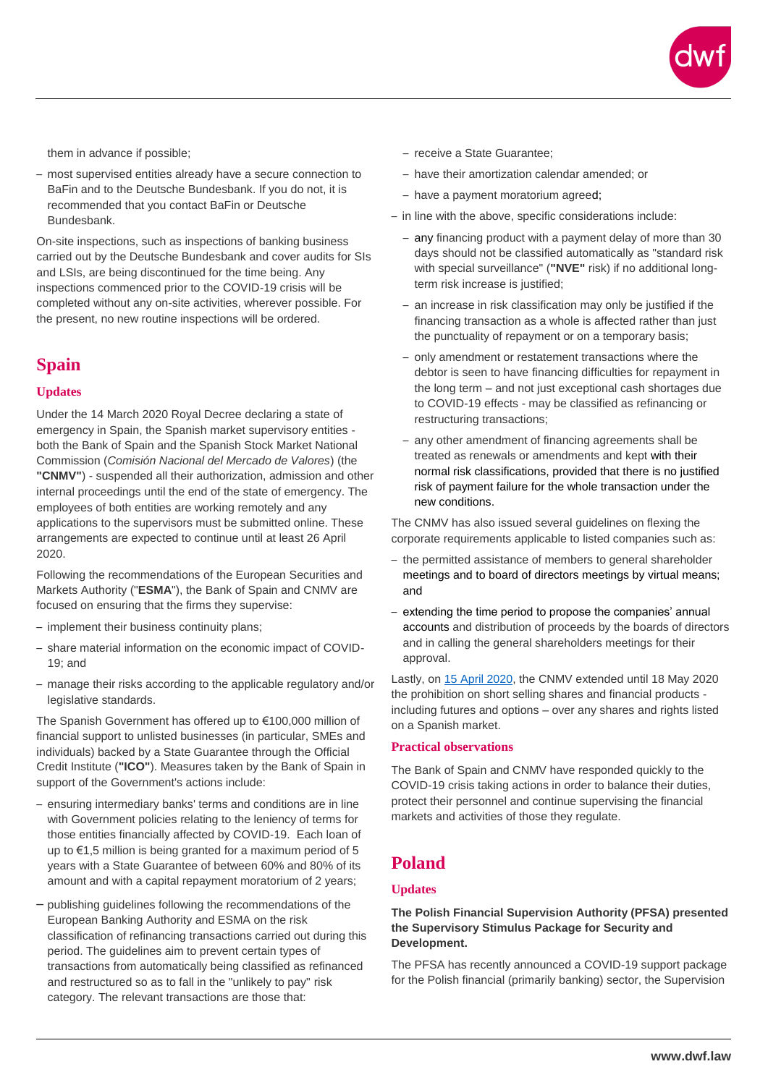

them in advance if possible;

– most supervised entities already have a secure connection to BaFin and to the Deutsche Bundesbank. If you do not, it is recommended that you contact BaFin or Deutsche Bundesbank.

On-site inspections, such as inspections of banking business carried out by the Deutsche Bundesbank and cover audits for SIs and LSIs, are being discontinued for the time being. Any inspections commenced prior to the COVID-19 crisis will be completed without any on-site activities, wherever possible. For the present, no new routine inspections will be ordered.

### **Spain**

### **Updates**

Under the 14 March 2020 Royal Decree declaring a state of emergency in Spain, the Spanish market supervisory entities both the Bank of Spain and the Spanish Stock Market National Commission (*Comisión Nacional del Mercado de Valores*) (the **"CNMV"**) - suspended all their authorization, admission and other internal proceedings until the end of the state of emergency. The employees of both entities are working remotely and any applications to the supervisors must be submitted online. These arrangements are expected to continue until at least 26 April 2020.

Following the recommendations of the European Securities and Markets Authority ("**ESMA**"), the Bank of Spain and CNMV are focused on ensuring that the firms they supervise:

- implement their business continuity plans;
- share material information on the economic impact of COVID-19; and
- manage their risks according to the applicable regulatory and/or legislative standards.

The Spanish Government has offered up to €100,000 million of financial support to unlisted businesses (in particular, SMEs and individuals) backed by a State Guarantee through the Official Credit Institute (**"ICO"**). Measures taken by the Bank of Spain in support of the Government's actions include:

- ensuring intermediary banks' terms and conditions are in line with Government policies relating to the leniency of terms for those entities financially affected by COVID-19. Each loan of up to  $\epsilon$ 1.5 million is being granted for a maximum period of 5 years with a State Guarantee of between 60% and 80% of its amount and with a capital repayment moratorium of 2 years;
- publishing guidelines following the recommendations of the European Banking Authority and ESMA on the risk classification of refinancing transactions carried out during this period. The guidelines aim to prevent certain types of transactions from automatically being classified as refinanced and restructured so as to fall in the "unlikely to pay" risk category. The relevant transactions are those that:
- receive a State Guarantee;
- have their amortization calendar amended; or
- have a payment moratorium agreed;
- in line with the above, specific considerations include:
	- any financing product with a payment delay of more than 30 days should not be classified automatically as "standard risk with special surveillance" (**"NVE"** risk) if no additional longterm risk increase is justified;
	- an increase in risk classification may only be justified if the financing transaction as a whole is affected rather than just the punctuality of repayment or on a temporary basis;
	- only amendment or restatement transactions where the debtor is seen to have financing difficulties for repayment in the long term – and not just exceptional cash shortages due to COVID-19 effects - may be classified as refinancing or restructuring transactions;
	- any other amendment of financing agreements shall be treated as renewals or amendments and kept with their normal risk classifications, provided that there is no justified risk of payment failure for the whole transaction under the new conditions.

The CNMV has also issued several guidelines on flexing the corporate requirements applicable to listed companies such as:

- the permitted assistance of members to general shareholder meetings and to board of directors meetings by virtual means; and
- extending the time period to propose the companies' annual accounts and distribution of proceeds by the boards of directors and in calling the general shareholders meetings for their approval.

Lastly, on [15 April 2020,](https://www.cnmv.es/portal/verDoc.axd?t=%7bc74b6335-d151-4fe1-993f-b29c0bb67382%7d) the CNMV extended until 18 May 2020 the prohibition on short selling shares and financial products including futures and options – over any shares and rights listed on a Spanish market.

#### **Practical observations**

The Bank of Spain and CNMV have responded quickly to the COVID-19 crisis taking actions in order to balance their duties, protect their personnel and continue supervising the financial markets and activities of those they regulate.

### **Poland**

### **Updates**

### **The Polish Financial Supervision Authority (PFSA) presented the Supervisory Stimulus Package for Security and Development.**

The PFSA has recently announced a COVID-19 support package for the Polish financial (primarily banking) sector, the Supervision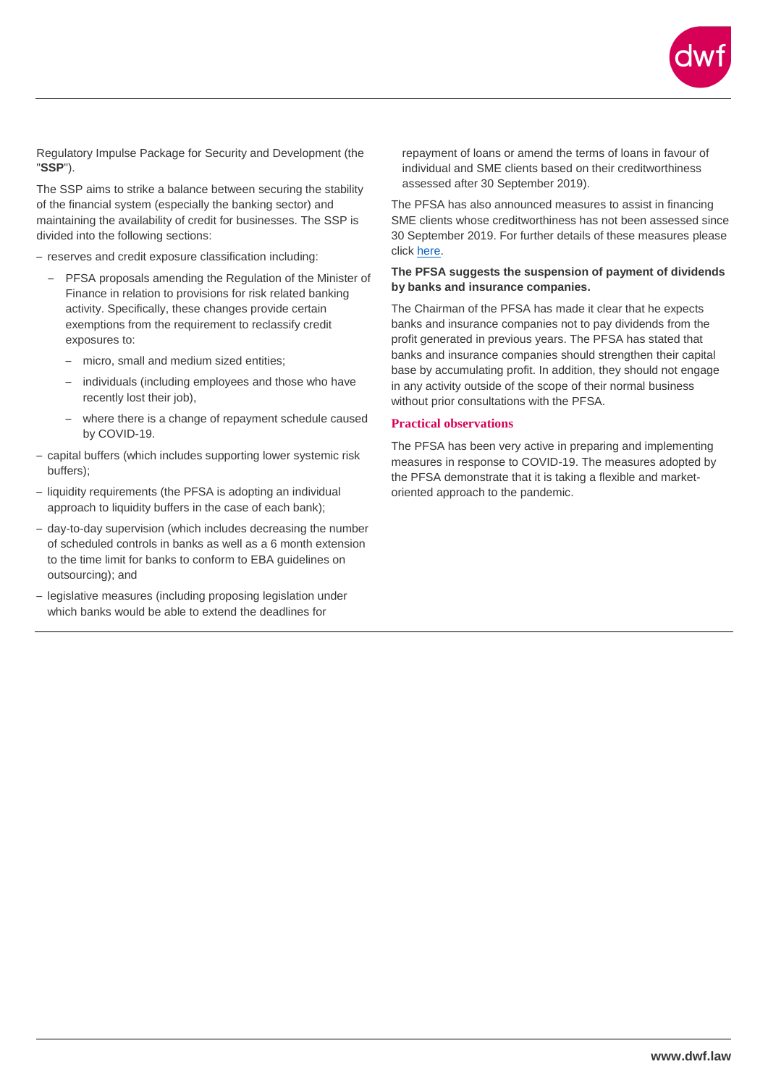

Regulatory Impulse Package for Security and Development (the "**SSP**").

The SSP aims to strike a balance between securing the stability of the financial system (especially the banking sector) and maintaining the availability of credit for businesses. The SSP is divided into the following sections:

- reserves and credit exposure classification including:
	- PFSA proposals amending the Regulation of the Minister of Finance in relation to provisions for risk related banking activity. Specifically, these changes provide certain exemptions from the requirement to reclassify credit exposures to:
		- micro, small and medium sized entities;
		- individuals (including employees and those who have recently lost their job),
		- where there is a change of repayment schedule caused by COVID-19.
- capital buffers (which includes supporting lower systemic risk buffers);
- liquidity requirements (the PFSA is adopting an individual approach to liquidity buffers in the case of each bank);
- day-to-day supervision (which includes decreasing the number of scheduled controls in banks as well as a 6 month extension to the time limit for banks to conform to EBA guidelines on outsourcing); and
- legislative measures (including proposing legislation under which banks would be able to extend the deadlines for

repayment of loans or amend the terms of loans in favour of individual and SME clients based on their creditworthiness assessed after 30 September 2019).

The PFSA has also announced measures to assist in financing SME clients whose creditworthiness has not been assessed since 30 September 2019. For further details of these measures please click [here.](https://www.knf.gov.pl/o_nas/komunikaty?articleId=69471&p_id=18)

#### **The PFSA suggests the suspension of payment of dividends by banks and insurance companies.**

The Chairman of the PFSA has made it clear that he expects banks and insurance companies not to pay dividends from the profit generated in previous years. The PFSA has stated that banks and insurance companies should strengthen their capital base by accumulating profit. In addition, they should not engage in any activity outside of the scope of their normal business without prior consultations with the PFSA.

#### **Practical observations**

The PFSA has been very active in preparing and implementing measures in response to COVID-19. The measures adopted by the PFSA demonstrate that it is taking a flexible and marketoriented approach to the pandemic.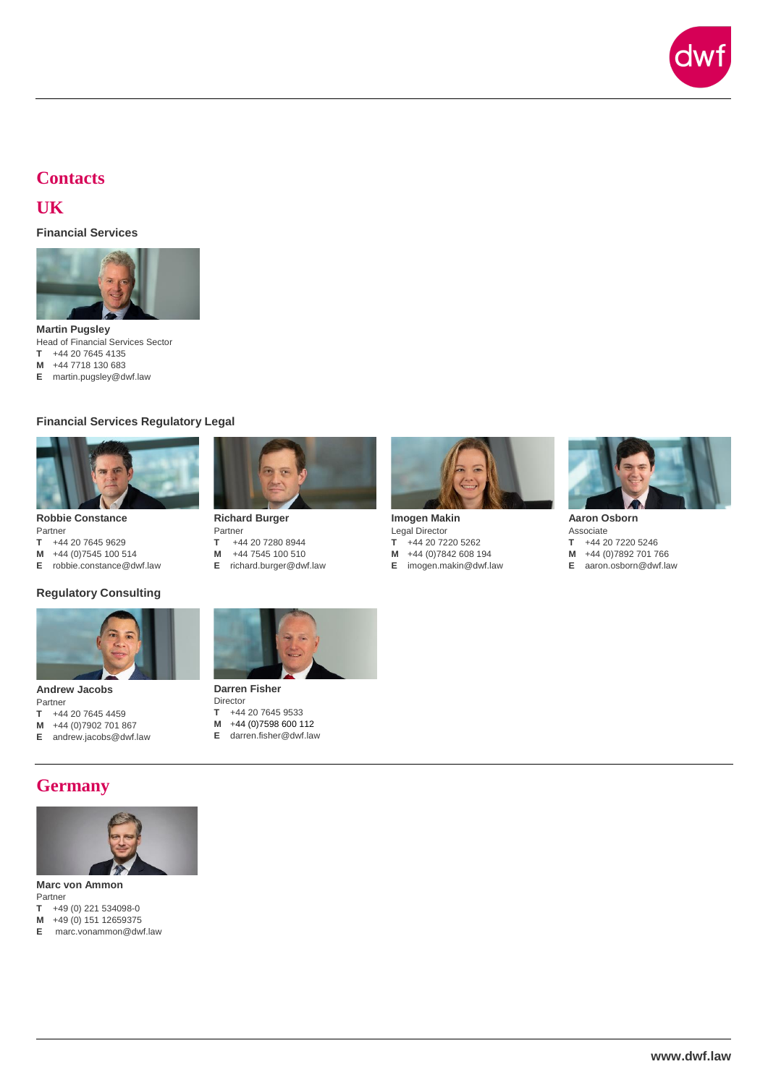

### **Contacts**

### **UK**

**Financial Services**



**Martin Pugsley** Head of Financial Services Sector **T** +44 20 7645 4135

**M** +44 7718 130 683

**E** martin.pugsley@dwf.law

### **Financial Services Regulatory Legal**



**Robbie Constance**

- Partner<br>T +44 **T** +44 20 7645 9629
- 
- **M** +44 (0)7545 100 514<br>**E** robbie.constance@dv **E** [robbie.constance@dwf.law](mailto:robbie.constance@dwf.law)

#### **Regulatory Consulting**



**Andrew Jacobs** Partner

- **T** +44 20 7645 4459
- **M** +44 (0)7902 701 867
- **E** [andrew.jacobs@dwf.law](mailto:andrew.jacobs@dwf.law)



**Richard Burger** Partner<br>T +4 **T** +44 20 7280 8944 **M** +44 7545 100 510

**E** [richard.burger@dwf.law](mailto:richard.burger@dwf.law)



**Imogen Makin** Legal Director<br> $T +442072$ **T** +44 20 7220 5262 **M** +44 (0)7842 608 194 **E** [imogen.makin@dwf.law](mailto:imogen.makin@dwf.law)



**Aaron Osborn** Associate<br>T +44 2 **T** +44 20 7220 5246 **M** +44 (0)7892 701 766 **E** [aaron.osborn@dwf.law](mailto:aaron.osborn@dwf.law)



**Darren Fisher** Director<br>T +44

- T +44 20 7645 9533<br>M +44 (0)7598 600 1
- **M** +44 (0)7598 600 112 **E** [darren.fisher@dwf.law](mailto:darren.fisher@dwf.law)

## **Germany**



**Marc von Ammon** Partner

- **T** +49 (0) 221 534098-0
- **M** +49 (0) 151 12659375
- **E** marc.vonammon@dwf.law